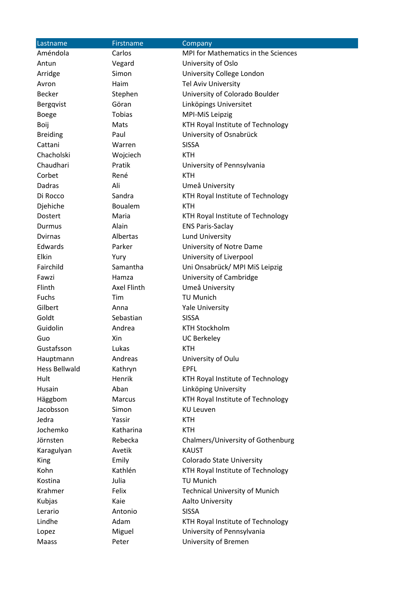| Lastname             | Firstname     | Company                               |  |
|----------------------|---------------|---------------------------------------|--|
| Améndola             | Carlos        | MPI for Mathematics in the Sciences   |  |
| Antun                | Vegard        | University of Oslo                    |  |
| Arridge              | Simon         | University College London             |  |
| Avron                | Haim          | <b>Tel Aviv University</b>            |  |
| <b>Becker</b>        | Stephen       | University of Colorado Boulder        |  |
| Bergqvist            | Göran         | Linköpings Universitet                |  |
| <b>Boege</b>         | <b>Tobias</b> | MPI-MiS Leipzig                       |  |
| Boij                 | Mats          | KTH Royal Institute of Technology     |  |
| <b>Breiding</b>      | Paul          | University of Osnabrück               |  |
| Cattani              | Warren        | <b>SISSA</b>                          |  |
| Chacholski           | Wojciech      | <b>KTH</b>                            |  |
| Chaudhari            | Pratik        | University of Pennsylvania            |  |
| Corbet               | René          | <b>KTH</b>                            |  |
| Dadras               | Ali           | Umeå University                       |  |
| Di Rocco             | Sandra        | KTH Royal Institute of Technology     |  |
| Djehiche             | Boualem       | <b>KTH</b>                            |  |
| Dostert              | Maria         | KTH Royal Institute of Technology     |  |
| Durmus               | Alain         | <b>ENS Paris-Saclay</b>               |  |
| <b>Dvirnas</b>       | Albertas      | <b>Lund University</b>                |  |
| Edwards              | Parker        | University of Notre Dame              |  |
| Elkin                | Yury          | University of Liverpool               |  |
| Fairchild            | Samantha      | Uni Onsabrück/ MPI MiS Leipzig        |  |
| Fawzi                | Hamza         | University of Cambridge               |  |
| Flinth               | Axel Flinth   | Umeå University                       |  |
| Fuchs                | Tim           | TU Munich                             |  |
| Gilbert              | Anna          | <b>Yale University</b>                |  |
| Goldt                | Sebastian     | <b>SISSA</b>                          |  |
| Guidolin             | Andrea        | <b>KTH Stockholm</b>                  |  |
| Guo                  | Xin           | <b>UC Berkeley</b>                    |  |
| Gustafsson           | Lukas         | <b>KTH</b>                            |  |
| Hauptmann            | Andreas       | University of Oulu                    |  |
| <b>Hess Bellwald</b> | Kathryn       | <b>EPFL</b>                           |  |
| Hult                 | Henrik        | KTH Royal Institute of Technology     |  |
| Husain               | Aban          | Linköping University                  |  |
| Häggbom              | Marcus        | KTH Royal Institute of Technology     |  |
| Jacobsson            | Simon         | <b>KU Leuven</b>                      |  |
| Jedra                | Yassir        | <b>KTH</b>                            |  |
| Jochemko             | Katharina     | <b>KTH</b>                            |  |
| Jörnsten             | Rebecka       | Chalmers/University of Gothenburg     |  |
| Karagulyan           | Avetik        | <b>KAUST</b>                          |  |
| <b>King</b>          | Emily         | <b>Colorado State University</b>      |  |
| Kohn                 | Kathlén       | KTH Royal Institute of Technology     |  |
| Kostina              | Julia         | <b>TU Munich</b>                      |  |
| Krahmer              | Felix         | <b>Technical University of Munich</b> |  |
| Kubjas               | Kaie          | Aalto University                      |  |
| Lerario              | Antonio       | <b>SISSA</b>                          |  |
| Lindhe               | Adam          | KTH Royal Institute of Technology     |  |
| Lopez                | Miguel        | University of Pennsylvania            |  |
| Maass                | Peter         | University of Bremen                  |  |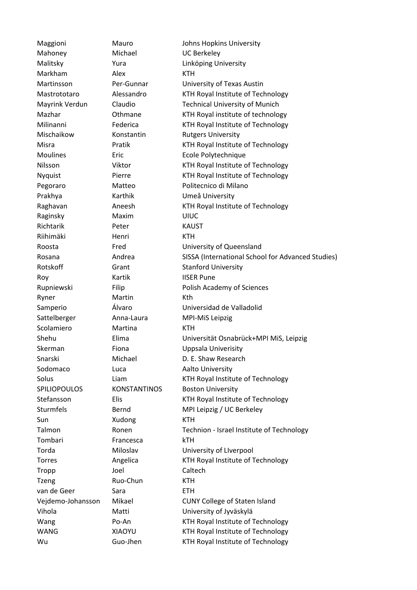Mahoney Michael UC Berkeley Markham Alex KTH Prakhya Karthik Umeå University Raginsky Maxim UIUC Richtarik Peter KAUST Riihimäki Henri KTH Roy **Kartik** IISER Pune Ryner Martin Kth Sattelberger Anna-Laura MPI-MiS Leipzig Scolamiero Martina KTH Sodomaco Luca Aalto University Sun Xudong KTH Tombari Francesca kTH Tropp Joel Caltech Tzeng Ruo-Chun KTH van de Geer Sara Sara ETH

Maggioni Mauro Johns Hopkins University Malitsky Yura Linköping University Martinsson Per-Gunnar University of Texas Austin Mastrototaro Alessandro KTH Royal Institute of Technology Mayrink Verdun Claudio Technical University of Munich Mazhar **Othmane** KTH Royal institute of technology Milinanni Federica KTH Royal Institute of Technology Mischaikow Konstantin Rutgers University Misra **Pratik KTH Royal Institute of Technology** Moulines Eric Ecole Polytechnique Nilsson Viktor KTH Royal Institute of Technology Nyquist Pierre KTH Royal Institute of Technology Pegoraro Matteo Politecnico di Milano Raghavan **Aneesh** KTH Royal Institute of Technology Roosta Fred University of Queensland Rosana **Andrea SISSA (International School for Advanced Studies)** Rosana Rotskoff Grant Grant Stanford University Rupniewski Filip Filip Polish Academy of Sciences Samperio Álvaro Universidad de Valladolid Shehu Elima Universität Osnabrück+MPI MiS, Leipzig Skerman Fiona **Fiona** Uppsala Univerisity Snarski Michael D. E. Shaw Research Solus **Liam** Liam KTH Royal Institute of Technology SPILIOPOULOS KONSTANTINOS Boston University Stefansson Elis Elis KTH Royal Institute of Technology Sturmfels Bernd MPI Leipzig / UC Berkeley Talmon **Ronen** Ronen Technion - Israel Institute of Technology Torda Miloslav University of LIverpool Torres **Angelica** KTH Royal Institute of Technology Vejdemo-Johansson Mikael CUNY College of Staten Island Vihola Matti University of Jyväskylä Wang Po-An Form RTH Royal Institute of Technology WANG XIAOYU KTH Royal Institute of Technology Wu Guo-Jhen KTH Royal Institute of Technology